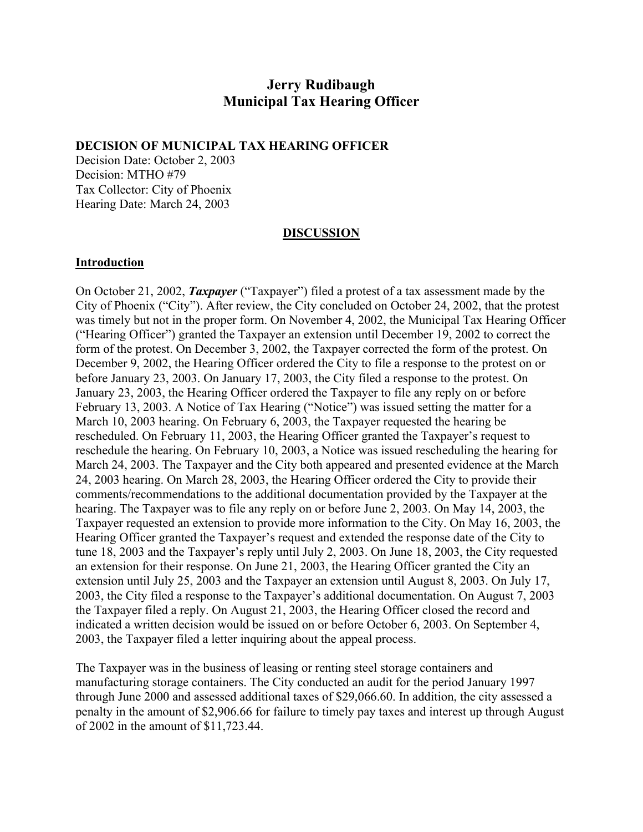# **Jerry Rudibaugh Municipal Tax Hearing Officer**

#### **DECISION OF MUNICIPAL TAX HEARING OFFICER**

Decision Date: October 2, 2003 Decision: MTHO #79 Tax Collector: City of Phoenix Hearing Date: March 24, 2003

#### **DISCUSSION**

#### **Introduction**

On October 21, 2002, *Taxpayer* ("Taxpayer") filed a protest of a tax assessment made by the City of Phoenix ("City"). After review, the City concluded on October 24, 2002, that the protest was timely but not in the proper form. On November 4, 2002, the Municipal Tax Hearing Officer ("Hearing Officer") granted the Taxpayer an extension until December 19, 2002 to correct the form of the protest. On December 3, 2002, the Taxpayer corrected the form of the protest. On December 9, 2002, the Hearing Officer ordered the City to file a response to the protest on or before January 23, 2003. On January 17, 2003, the City filed a response to the protest. On January 23, 2003, the Hearing Officer ordered the Taxpayer to file any reply on or before February 13, 2003. A Notice of Tax Hearing ("Notice") was issued setting the matter for a March 10, 2003 hearing. On February 6, 2003, the Taxpayer requested the hearing be rescheduled. On February 11, 2003, the Hearing Officer granted the Taxpayer's request to reschedule the hearing. On February 10, 2003, a Notice was issued rescheduling the hearing for March 24, 2003. The Taxpayer and the City both appeared and presented evidence at the March 24, 2003 hearing. On March 28, 2003, the Hearing Officer ordered the City to provide their comments/recommendations to the additional documentation provided by the Taxpayer at the hearing. The Taxpayer was to file any reply on or before June 2, 2003. On May 14, 2003, the Taxpayer requested an extension to provide more information to the City. On May 16, 2003, the Hearing Officer granted the Taxpayer's request and extended the response date of the City to tune 18, 2003 and the Taxpayer's reply until July 2, 2003. On June 18, 2003, the City requested an extension for their response. On June 21, 2003, the Hearing Officer granted the City an extension until July 25, 2003 and the Taxpayer an extension until August 8, 2003. On July 17, 2003, the City filed a response to the Taxpayer's additional documentation. On August 7, 2003 the Taxpayer filed a reply. On August 21, 2003, the Hearing Officer closed the record and indicated a written decision would be issued on or before October 6, 2003. On September 4, 2003, the Taxpayer filed a letter inquiring about the appeal process.

The Taxpayer was in the business of leasing or renting steel storage containers and manufacturing storage containers. The City conducted an audit for the period January 1997 through June 2000 and assessed additional taxes of \$29,066.60. In addition, the city assessed a penalty in the amount of \$2,906.66 for failure to timely pay taxes and interest up through August of 2002 in the amount of \$11,723.44.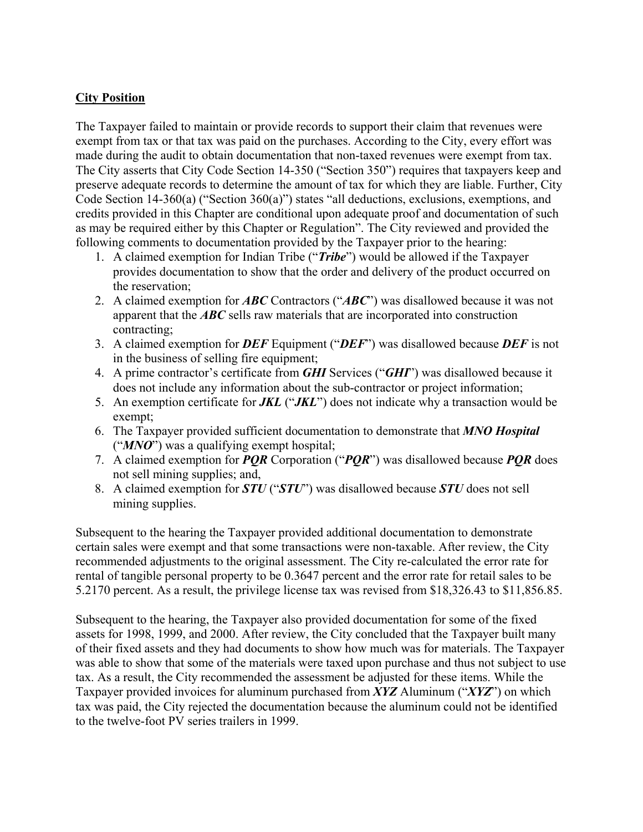# **City Position**

The Taxpayer failed to maintain or provide records to support their claim that revenues were exempt from tax or that tax was paid on the purchases. According to the City, every effort was made during the audit to obtain documentation that non-taxed revenues were exempt from tax. The City asserts that City Code Section 14-350 ("Section 350") requires that taxpayers keep and preserve adequate records to determine the amount of tax for which they are liable. Further, City Code Section 14-360(a) ("Section 360(a)") states "all deductions, exclusions, exemptions, and credits provided in this Chapter are conditional upon adequate proof and documentation of such as may be required either by this Chapter or Regulation". The City reviewed and provided the following comments to documentation provided by the Taxpayer prior to the hearing:

- 1. A claimed exemption for Indian Tribe ("*Tribe*") would be allowed if the Taxpayer provides documentation to show that the order and delivery of the product occurred on the reservation;
- 2. A claimed exemption for *ABC* Contractors ("*ABC*") was disallowed because it was not apparent that the *ABC* sells raw materials that are incorporated into construction contracting;
- 3. A claimed exemption for *DEF* Equipment ("*DEF*") was disallowed because *DEF* is not in the business of selling fire equipment;
- 4. A prime contractor's certificate from *GHI* Services ("*GHI*") was disallowed because it does not include any information about the sub-contractor or project information;
- 5. An exemption certificate for *JKL* ("*JKL*") does not indicate why a transaction would be exempt;
- 6. The Taxpayer provided sufficient documentation to demonstrate that *MNO Hospital* ("*MNO*") was a qualifying exempt hospital;
- 7. A claimed exemption for *PQR* Corporation ("*PQR*") was disallowed because *PQR* does not sell mining supplies; and,
- 8. A claimed exemption for *STU* ("*STU*") was disallowed because *STU* does not sell mining supplies.

Subsequent to the hearing the Taxpayer provided additional documentation to demonstrate certain sales were exempt and that some transactions were non-taxable. After review, the City recommended adjustments to the original assessment. The City re-calculated the error rate for rental of tangible personal property to be 0.3647 percent and the error rate for retail sales to be 5.2170 percent. As a result, the privilege license tax was revised from \$18,326.43 to \$11,856.85.

Subsequent to the hearing, the Taxpayer also provided documentation for some of the fixed assets for 1998, 1999, and 2000. After review, the City concluded that the Taxpayer built many of their fixed assets and they had documents to show how much was for materials. The Taxpayer was able to show that some of the materials were taxed upon purchase and thus not subject to use tax. As a result, the City recommended the assessment be adjusted for these items. While the Taxpayer provided invoices for aluminum purchased from *XYZ* Aluminum ("*XYZ*") on which tax was paid, the City rejected the documentation because the aluminum could not be identified to the twelve-foot PV series trailers in 1999.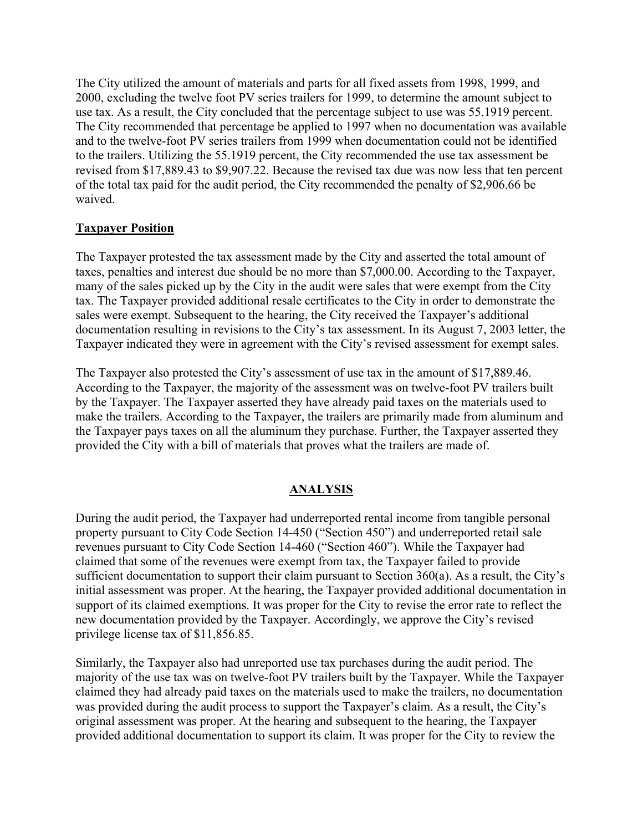The City utilized the amount of materials and parts for all fixed assets from 1998, 1999, and 2000, excluding the twelve foot PV series trailers for 1999, to determine the amount subject to use tax. As a result, the City concluded that the percentage subject to use was 55.1919 percent. The City recommended that percentage be applied to 1997 when no documentation was available and to the twelve-foot PV series trailers from 1999 when documentation could not be identified to the trailers. Utilizing the 55.1919 percent, the City recommended the use tax assessment be revised from \$17,889.43 to \$9,907.22. Because the revised tax due was now less that ten percent of the total tax paid for the audit period, the City recommended the penalty of \$2,906.66 be waived.

# **Taxpayer Position**

The Taxpayer protested the tax assessment made by the City and asserted the total amount of taxes, penalties and interest due should be no more than \$7,000.00. According to the Taxpayer, many of the sales picked up by the City in the audit were sales that were exempt from the City tax. The Taxpayer provided additional resale certificates to the City in order to demonstrate the sales were exempt. Subsequent to the hearing, the City received the Taxpayer's additional documentation resulting in revisions to the City's tax assessment. In its August 7, 2003 letter, the Taxpayer indicated they were in agreement with the City's revised assessment for exempt sales.

The Taxpayer also protested the City's assessment of use tax in the amount of \$17,889.46. According to the Taxpayer, the majority of the assessment was on twelve-foot PV trailers built by the Taxpayer. The Taxpayer asserted they have already paid taxes on the materials used to make the trailers. According to the Taxpayer, the trailers are primarily made from aluminum and the Taxpayer pays taxes on all the aluminum they purchase. Further, the Taxpayer asserted they provided the City with a bill of materials that proves what the trailers are made of.

# **ANALYSIS**

During the audit period, the Taxpayer had underreported rental income from tangible personal property pursuant to City Code Section 14-450 ("Section 450") and underreported retail sale revenues pursuant to City Code Section 14-460 ("Section 460"). While the Taxpayer had claimed that some of the revenues were exempt from tax, the Taxpayer failed to provide sufficient documentation to support their claim pursuant to Section 360(a). As a result, the City's initial assessment was proper. At the hearing, the Taxpayer provided additional documentation in support of its claimed exemptions. It was proper for the City to revise the error rate to reflect the new documentation provided by the Taxpayer. Accordingly, we approve the City's revised privilege license tax of \$11,856.85.

Similarly, the Taxpayer also had unreported use tax purchases during the audit period. The majority of the use tax was on twelve-foot PV trailers built by the Taxpayer. While the Taxpayer claimed they had already paid taxes on the materials used to make the trailers, no documentation was provided during the audit process to support the Taxpayer's claim. As a result, the City's original assessment was proper. At the hearing and subsequent to the hearing, the Taxpayer provided additional documentation to support its claim. It was proper for the City to review the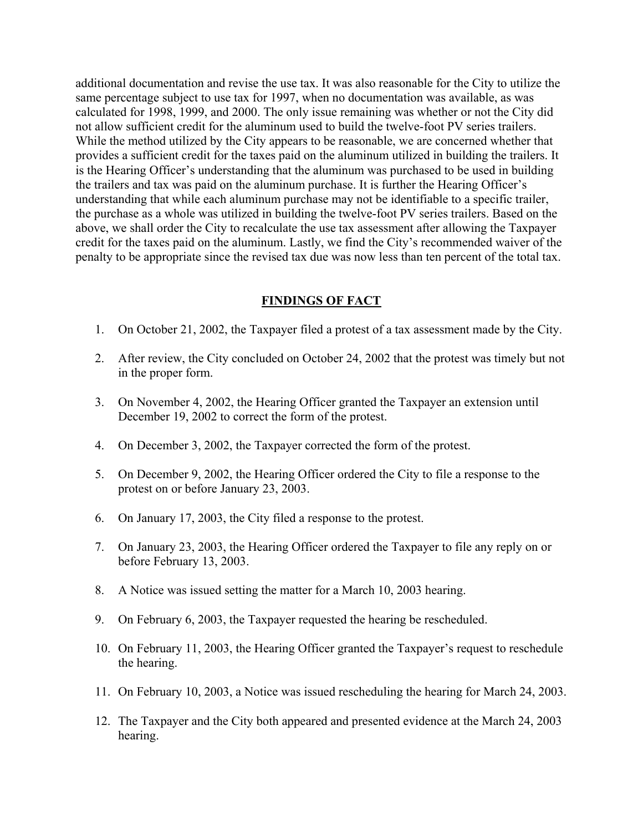additional documentation and revise the use tax. It was also reasonable for the City to utilize the same percentage subject to use tax for 1997, when no documentation was available, as was calculated for 1998, 1999, and 2000. The only issue remaining was whether or not the City did not allow sufficient credit for the aluminum used to build the twelve-foot PV series trailers. While the method utilized by the City appears to be reasonable, we are concerned whether that provides a sufficient credit for the taxes paid on the aluminum utilized in building the trailers. It is the Hearing Officer's understanding that the aluminum was purchased to be used in building the trailers and tax was paid on the aluminum purchase. It is further the Hearing Officer's understanding that while each aluminum purchase may not be identifiable to a specific trailer, the purchase as a whole was utilized in building the twelve-foot PV series trailers. Based on the above, we shall order the City to recalculate the use tax assessment after allowing the Taxpayer credit for the taxes paid on the aluminum. Lastly, we find the City's recommended waiver of the penalty to be appropriate since the revised tax due was now less than ten percent of the total tax.

#### **FINDINGS OF FACT**

- 1. On October 21, 2002, the Taxpayer filed a protest of a tax assessment made by the City.
- 2. After review, the City concluded on October 24, 2002 that the protest was timely but not in the proper form.
- 3. On November 4, 2002, the Hearing Officer granted the Taxpayer an extension until December 19, 2002 to correct the form of the protest.
- 4. On December 3, 2002, the Taxpayer corrected the form of the protest.
- 5. On December 9, 2002, the Hearing Officer ordered the City to file a response to the protest on or before January 23, 2003.
- 6. On January 17, 2003, the City filed a response to the protest.
- 7. On January 23, 2003, the Hearing Officer ordered the Taxpayer to file any reply on or before February 13, 2003.
- 8. A Notice was issued setting the matter for a March 10, 2003 hearing.
- 9. On February 6, 2003, the Taxpayer requested the hearing be rescheduled.
- 10. On February 11, 2003, the Hearing Officer granted the Taxpayer's request to reschedule the hearing.
- 11. On February 10, 2003, a Notice was issued rescheduling the hearing for March 24, 2003.
- 12. The Taxpayer and the City both appeared and presented evidence at the March 24, 2003 hearing.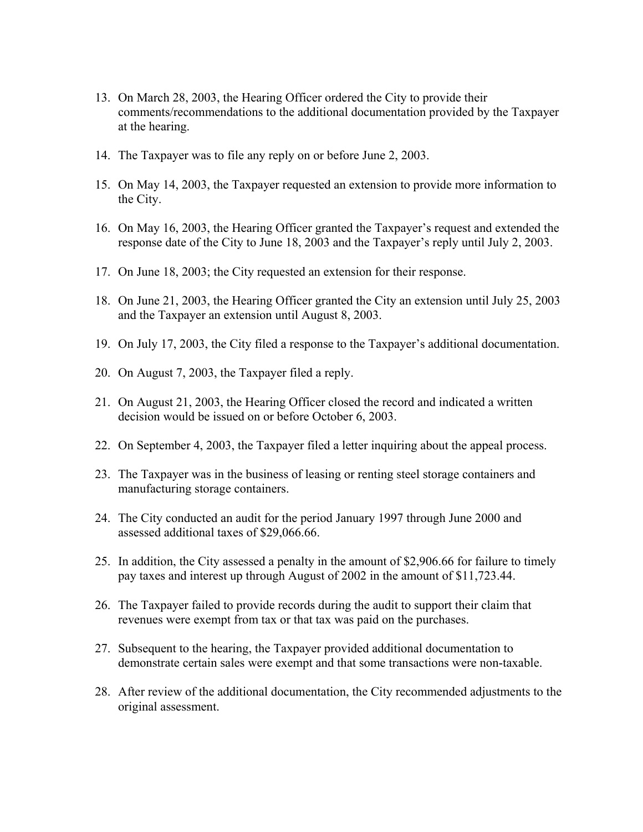- 13. On March 28, 2003, the Hearing Officer ordered the City to provide their comments/recommendations to the additional documentation provided by the Taxpayer at the hearing.
- 14. The Taxpayer was to file any reply on or before June 2, 2003.
- 15. On May 14, 2003, the Taxpayer requested an extension to provide more information to the City.
- 16. On May 16, 2003, the Hearing Officer granted the Taxpayer's request and extended the response date of the City to June 18, 2003 and the Taxpayer's reply until July 2, 2003.
- 17. On June 18, 2003; the City requested an extension for their response.
- 18. On June 21, 2003, the Hearing Officer granted the City an extension until July 25, 2003 and the Taxpayer an extension until August 8, 2003.
- 19. On July 17, 2003, the City filed a response to the Taxpayer's additional documentation.
- 20. On August 7, 2003, the Taxpayer filed a reply.
- 21. On August 21, 2003, the Hearing Officer closed the record and indicated a written decision would be issued on or before October 6, 2003.
- 22. On September 4, 2003, the Taxpayer filed a letter inquiring about the appeal process.
- 23. The Taxpayer was in the business of leasing or renting steel storage containers and manufacturing storage containers.
- 24. The City conducted an audit for the period January 1997 through June 2000 and assessed additional taxes of \$29,066.66.
- 25. In addition, the City assessed a penalty in the amount of \$2,906.66 for failure to timely pay taxes and interest up through August of 2002 in the amount of \$11,723.44.
- 26. The Taxpayer failed to provide records during the audit to support their claim that revenues were exempt from tax or that tax was paid on the purchases.
- 27. Subsequent to the hearing, the Taxpayer provided additional documentation to demonstrate certain sales were exempt and that some transactions were non-taxable.
- 28. After review of the additional documentation, the City recommended adjustments to the original assessment.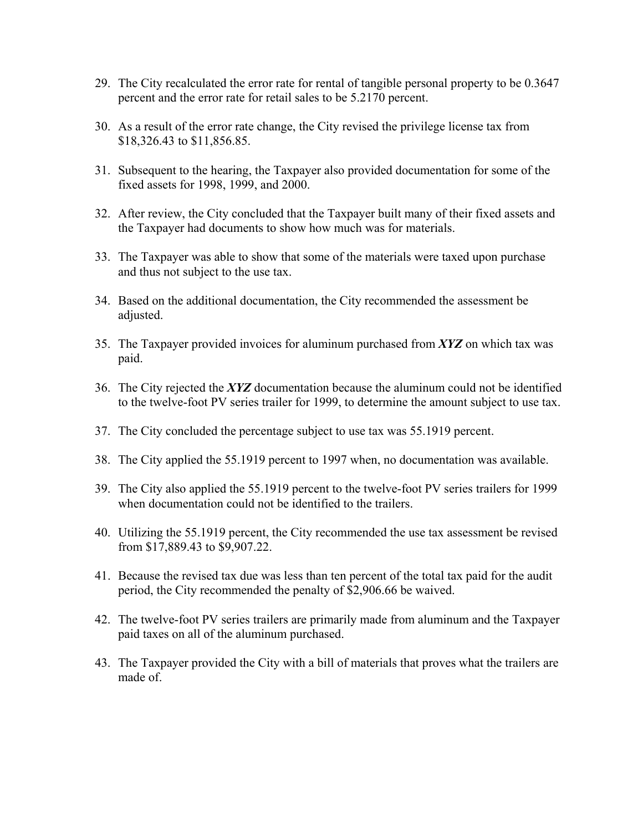- 29. The City recalculated the error rate for rental of tangible personal property to be 0.3647 percent and the error rate for retail sales to be 5.2170 percent.
- 30. As a result of the error rate change, the City revised the privilege license tax from \$18,326.43 to \$11,856.85.
- 31. Subsequent to the hearing, the Taxpayer also provided documentation for some of the fixed assets for 1998, 1999, and 2000.
- 32. After review, the City concluded that the Taxpayer built many of their fixed assets and the Taxpayer had documents to show how much was for materials.
- 33. The Taxpayer was able to show that some of the materials were taxed upon purchase and thus not subject to the use tax.
- 34. Based on the additional documentation, the City recommended the assessment be adjusted.
- 35. The Taxpayer provided invoices for aluminum purchased from *XYZ* on which tax was paid.
- 36. The City rejected the *XYZ* documentation because the aluminum could not be identified to the twelve-foot PV series trailer for 1999, to determine the amount subject to use tax.
- 37. The City concluded the percentage subject to use tax was 55.1919 percent.
- 38. The City applied the 55.1919 percent to 1997 when, no documentation was available.
- 39. The City also applied the 55.1919 percent to the twelve-foot PV series trailers for 1999 when documentation could not be identified to the trailers.
- 40. Utilizing the 55.1919 percent, the City recommended the use tax assessment be revised from \$17,889.43 to \$9,907.22.
- 41. Because the revised tax due was less than ten percent of the total tax paid for the audit period, the City recommended the penalty of \$2,906.66 be waived.
- 42. The twelve-foot PV series trailers are primarily made from aluminum and the Taxpayer paid taxes on all of the aluminum purchased.
- 43. The Taxpayer provided the City with a bill of materials that proves what the trailers are made of.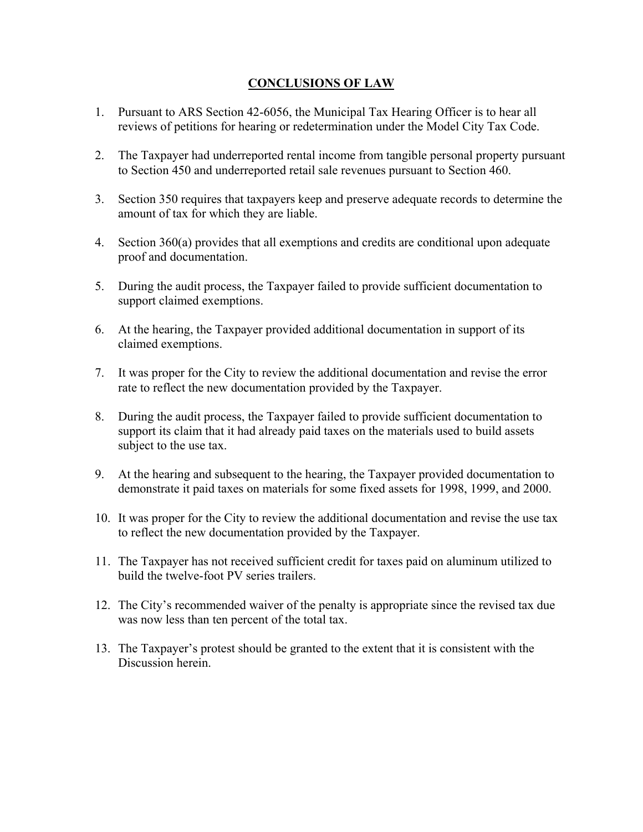# **CONCLUSIONS OF LAW**

- 1. Pursuant to ARS Section 42-6056, the Municipal Tax Hearing Officer is to hear all reviews of petitions for hearing or redetermination under the Model City Tax Code.
- 2. The Taxpayer had underreported rental income from tangible personal property pursuant to Section 450 and underreported retail sale revenues pursuant to Section 460.
- 3. Section 350 requires that taxpayers keep and preserve adequate records to determine the amount of tax for which they are liable.
- 4. Section 360(a) provides that all exemptions and credits are conditional upon adequate proof and documentation.
- 5. During the audit process, the Taxpayer failed to provide sufficient documentation to support claimed exemptions.
- 6. At the hearing, the Taxpayer provided additional documentation in support of its claimed exemptions.
- 7. It was proper for the City to review the additional documentation and revise the error rate to reflect the new documentation provided by the Taxpayer.
- 8. During the audit process, the Taxpayer failed to provide sufficient documentation to support its claim that it had already paid taxes on the materials used to build assets subject to the use tax.
- 9. At the hearing and subsequent to the hearing, the Taxpayer provided documentation to demonstrate it paid taxes on materials for some fixed assets for 1998, 1999, and 2000.
- 10. It was proper for the City to review the additional documentation and revise the use tax to reflect the new documentation provided by the Taxpayer.
- 11. The Taxpayer has not received sufficient credit for taxes paid on aluminum utilized to build the twelve-foot PV series trailers.
- 12. The City's recommended waiver of the penalty is appropriate since the revised tax due was now less than ten percent of the total tax.
- 13. The Taxpayer's protest should be granted to the extent that it is consistent with the Discussion herein.